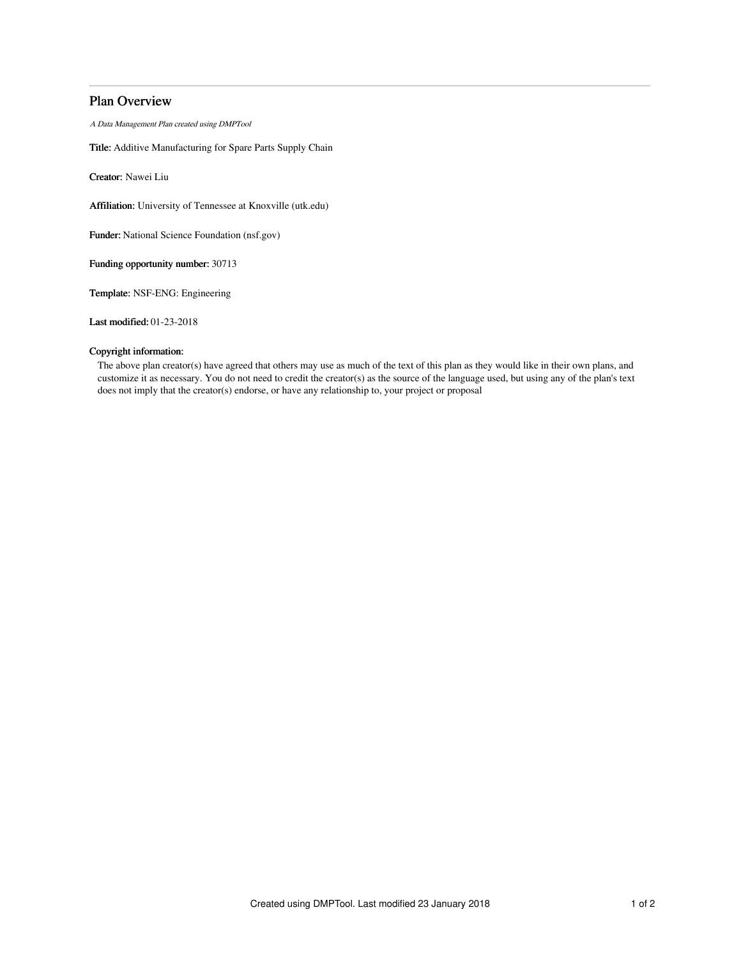# Plan Overview

A Data Management Plan created using DMPTool

Title: Additive Manufacturing for Spare Parts Supply Chain

Creator: Nawei Liu

Affiliation: University of Tennessee at Knoxville (utk.edu)

Funder: National Science Foundation (nsf.gov)

Funding opportunity number: 30713

Template: NSF-ENG: Engineering

Last modified: 01-23-2018

# Copyright information:

The above plan creator(s) have agreed that others may use as much of the text of this plan as they would like in their own plans, and customize it as necessary. You do not need to credit the creator(s) as the source of the language used, but using any of the plan's text does not imply that the creator(s) endorse, or have any relationship to, your project or proposal